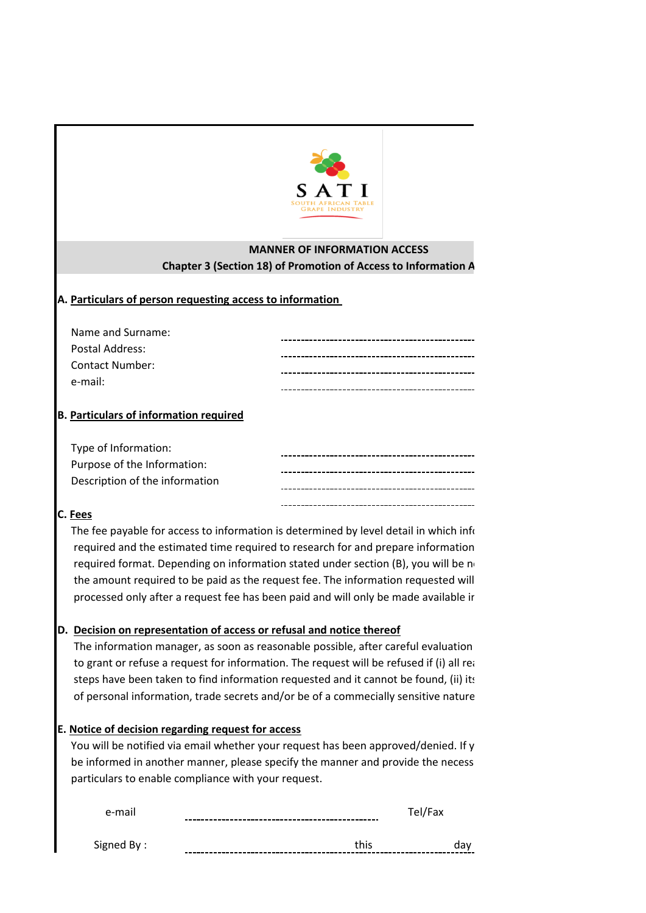

# **MANNER OF INFORMATION ACCESS Chapter 3 (Section 18) of Promotion of Access to Information A**

## **A. Particulars of person requesting access to information**

| Name and Surname: | ---------------------------------- |
|-------------------|------------------------------------|
| Postal Address:   |                                    |
| Contact Number:   |                                    |
| e-mail:           |                                    |
|                   |                                    |

## **B. Particulars of information required**

| Type of Information:           |  |
|--------------------------------|--|
| Purpose of the Information:    |  |
| Description of the information |  |
|                                |  |

## **C. Fees**

required format. Depending on information stated under section (B), you will be no The fee payable for access to information is determined by level detail in which information is determined by required and the estimated time required to research for and prepare information the amount required to be paid as the request fee. The information requested will processed only after a request fee has been paid and will only be made available ir

## **D. Decision on representation of access or refusal and notice thereof**

The information manager, as soon as reasonable possible, after careful evaluation to grant or refuse a request for information. The request will be refused if (i) all reasonal steps have been taken to find information requested and it cannot be found, (ii) its of personal information, trade secrets and/or be of a commecially sensitive nature.

## **E. Notice of decision regarding request for access**

You will be notified via email whether your request has been approved/denied. If y be informed in another manner, please specify the manner and provide the necess particulars to enable compliance with your request.

| e-mail     | èι |  |
|------------|----|--|
|            |    |  |
| Signed By: |    |  |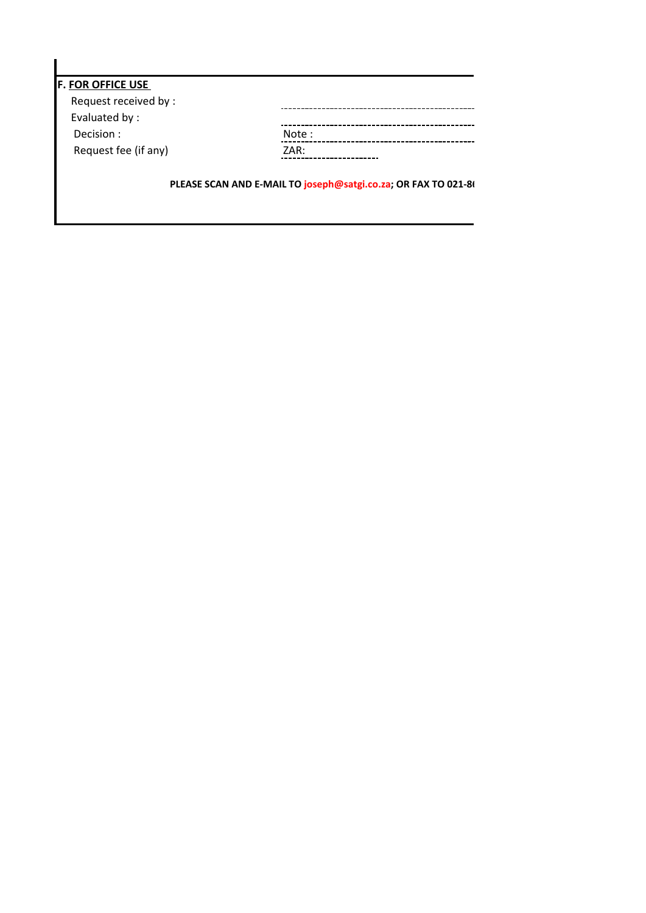| <b>F. FOR OFFICE USE</b> |                                                                |
|--------------------------|----------------------------------------------------------------|
| Request received by :    |                                                                |
| Evaluated by:            |                                                                |
| Decision:                | Note:                                                          |
| Request fee (if any)     | ZAR:                                                           |
|                          |                                                                |
|                          | PLEASE SCAN AND E-MAIL TO joseph@satgi.co.za; OR FAX TO 021-8( |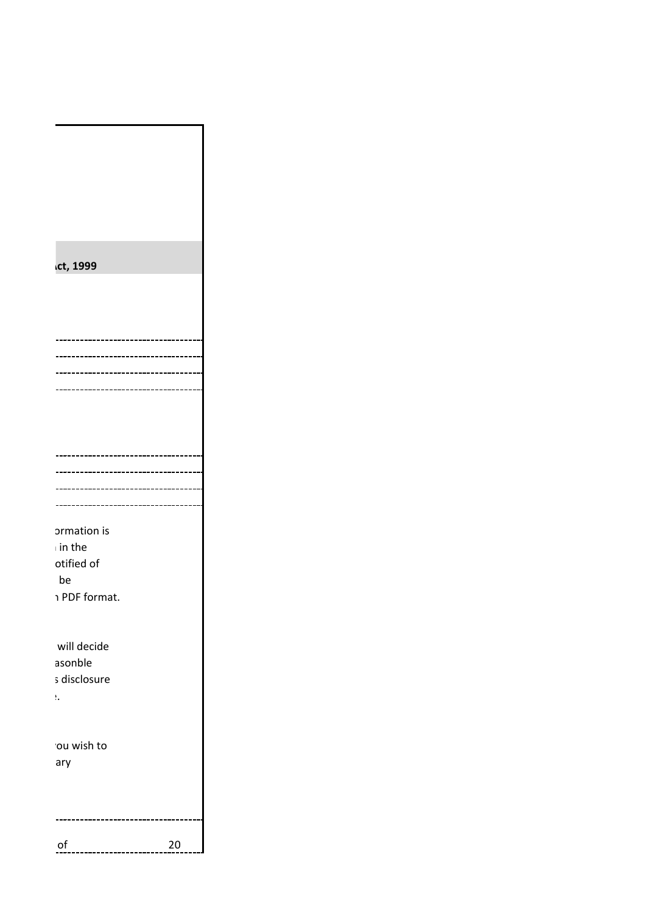|  | ct, 1999      |    |
|--|---------------|----|
|  |               |    |
|  |               |    |
|  |               |    |
|  |               |    |
|  |               |    |
|  |               |    |
|  |               |    |
|  |               |    |
|  |               |    |
|  |               |    |
|  |               |    |
|  |               |    |
|  |               |    |
|  |               |    |
|  | ormation is   |    |
|  | in the        |    |
|  | otified of    |    |
|  | be            |    |
|  | ו PDF format. |    |
|  |               |    |
|  | will decide   |    |
|  | asonble       |    |
|  | s disclosure  |    |
|  | $\Sigma$      |    |
|  |               |    |
|  |               |    |
|  | ou wish to    |    |
|  | ary           |    |
|  |               |    |
|  |               |    |
|  |               |    |
|  |               |    |
|  | $of$          | 20 |

ו